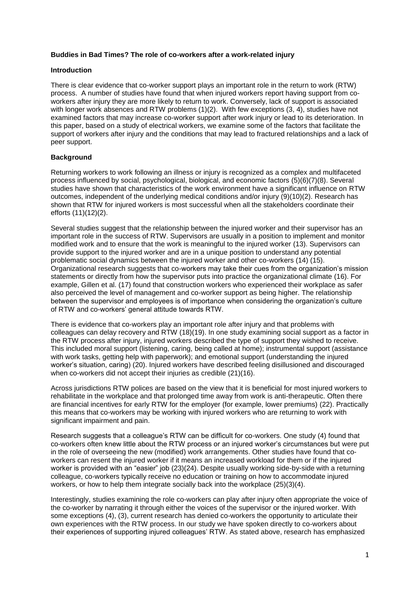### **Buddies in Bad Times? The role of co-workers after a work-related injury**

### **Introduction**

There is clear evidence that co-worker support plays an important role in the return to work (RTW) process. A number of studies have found that when injured workers report having support from coworkers after injury they are more likely to return to work. Conversely, lack of support is associated with longer work absences and RTW problems [\(1\)](#page-11-0)[\(2\)](#page-11-1). With few exceptions [\(3,](#page-11-2) [4\)](#page-11-3), studies have not examined factors that may increase co-worker support after work injury or lead to its deterioration. In this paper, based on a study of electrical workers, we examine some of the factors that facilitate the support of workers after injury and the conditions that may lead to fractured relationships and a lack of peer support.

### **Background**

Returning workers to work following an illness or injury is recognized as a complex and multifaceted process influenced by social, psychological, biological, and economic factors [\(5\)](#page-11-4)[\(6\)](#page-11-5)[\(7\)](#page-11-6)[\(8\)](#page-11-7). Several studies have shown that characteristics of the work environment have a significant influence on RTW outcomes, independent of the underlying medical conditions and/or injury [\(9\)](#page-11-8)[\(10\)](#page-11-9)[\(2\)](#page-11-1). Research has shown that RTW for injured workers is most successful when all the stakeholders coordinate their efforts [\(11\)](#page-11-10)[\(12\)](#page-11-11)[\(2\)](#page-11-1).

Several studies suggest that the relationship between the injured worker and their supervisor has an important role in the success of RTW. Supervisors are usually in a position to implement and monitor modified work and to ensure that the work is meaningful to the injured worker [\(13\)](#page-11-12). Supervisors can provide support to the injured worker and are in a unique position to understand any potential problematic social dynamics between the injured worker and other co-workers [\(14\)](#page-11-13) [\(15\)](#page-11-14). Organizational research suggests that co-workers may take their cues from the organization's mission statements or directly from how the supervisor puts into practice the organizational climate [\(16\)](#page-11-15). For example, Gillen et al. [\(17\)](#page-11-16) found that construction workers who experienced their workplace as safer also perceived the level of management and co-worker support as being higher. The relationship between the supervisor and employees is of importance when considering the organization's culture of RTW and co-workers' general attitude towards RTW.

There is evidence that co-workers play an important role after injury and that problems with colleagues can delay recovery and RTW [\(18\)](#page-12-0)[\(19\)](#page-12-1). In one study examining social support as a factor in the RTW process after injury, injured workers described the type of support they wished to receive. This included moral support (listening, caring, being called at home); instrumental support (assistance with work tasks, getting help with paperwork); and emotional support (understanding the injured worker's situation, caring) [\(20\)](#page-12-2). Injured workers have described feeling disillusioned and discouraged when co-workers did not accept their injuries as credible [\(21\)](#page-12-3)[\(16\)](#page-11-15).

Across jurisdictions RTW polices are based on the view that it is beneficial for most injured workers to rehabilitate in the workplace and that prolonged time away from work is anti-therapeutic. Often there are financial incentives for early RTW for the employer (for example, lower premiums) [\(22\)](#page-12-4). Practically this means that co-workers may be working with injured workers who are returning to work with significant impairment and pain.

Research suggests that a colleague's RTW can be difficult for co-workers. One study [\(4\)](#page-11-3) found that co-workers often knew little about the RTW process or an injured worker's circumstances but were put in the role of overseeing the new (modified) work arrangements. Other studies have found that coworkers can resent the injured worker if it means an increased workload for them or if the injured worker is provided with an "easier" job [\(23\)](#page-12-5)[\(24\)](#page-12-6). Despite usually working side-by-side with a returning colleague, co-workers typically receive no education or training on how to accommodate injured workers, or how to help them integrate socially back into the workplace [\(25\)](#page-12-7)[\(3\)](#page-11-2)[\(4\)](#page-11-3).

Interestingly, studies examining the role co-workers can play after injury often appropriate the voice of the co-worker by narrating it through either the voices of the supervisor or the injured worker. With some exceptions [\(4\)](#page-11-3), [\(3\)](#page-11-2), current research has denied co-workers the opportunity to articulate their own experiences with the RTW process. In our study we have spoken directly to co-workers about their experiences of supporting injured colleagues' RTW. As stated above, research has emphasized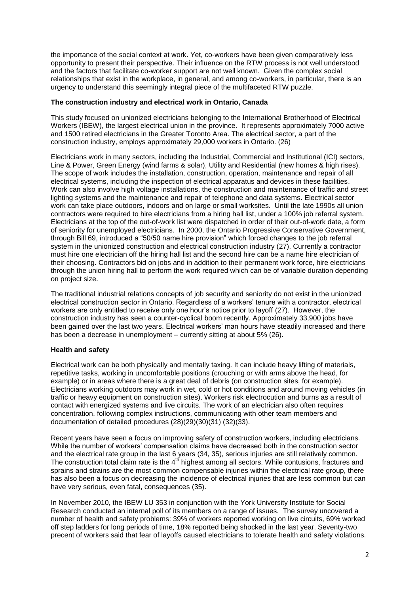the importance of the social context at work. Yet, co-workers have been given comparatively less opportunity to present their perspective. Their influence on the RTW process is not well understood and the factors that facilitate co-worker support are not well known. Given the complex social relationships that exist in the workplace, in general, and among co-workers, in particular, there is an urgency to understand this seemingly integral piece of the multifaceted RTW puzzle.

### **The construction industry and electrical work in Ontario, Canada**

This study focused on unionized electricians belonging to the International Brotherhood of Electrical Workers (IBEW), the largest electrical union in the province. It represents approximately 7000 active and 1500 retired electricians in the Greater Toronto Area. The electrical sector, a part of the construction industry, employs approximately 29,000 workers in Ontario. [\(26\)](#page-12-8)

Electricians work in many sectors, including the Industrial, Commercial and Institutional (ICI) sectors, Line & Power, Green Energy (wind farms & solar), Utility and Residential (new homes & high rises). The scope of work includes the installation, construction, operation, maintenance and repair of all electrical systems, including the inspection of electrical apparatus and devices in these facilities. Work can also involve high voltage installations, the construction and maintenance of traffic and street lighting systems and the maintenance and repair of telephone and data systems. Electrical sector work can take place outdoors, indoors and on large or small worksites. Until the late 1990s all union contractors were required to hire electricians from a hiring hall list, under a 100% job referral system. Electricians at the top of the out-of-work list were dispatched in order of their out-of-work date, a form of seniority for unemployed electricians. In 2000, the Ontario Progressive Conservative Government, through Bill 69, introduced a "50/50 name hire provision" which forced changes to the job referral system in the unionized construction and electrical construction industry [\(27\)](#page-12-9). Currently a contractor must hire one electrician off the hiring hall list and the second hire can be a name hire electrician of their choosing. Contractors bid on jobs and in addition to their permanent work force, hire electricians through the union hiring hall to perform the work required which can be of variable duration depending on project size.

The traditional industrial relations concepts of job security and seniority do not exist in the unionized electrical construction sector in Ontario. Regardless of a workers' tenure with a contractor, electrical workers are only entitled to receive only one hour's notice prior to layoff [\(27\)](#page-12-9). However, the construction industry has seen a counter-cyclical boom recently. Approximately 33,900 jobs have been gained over the last two years. Electrical workers' man hours have steadily increased and there has been a decrease in unemployment – currently sitting at about 5% [\(26\)](#page-12-8).

## **Health and safety**

Electrical work can be both physically and mentally taxing. It can include heavy lifting of materials, repetitive tasks, working in uncomfortable positions (crouching or with arms above the head, for example) or in areas where there is a great deal of debris (on construction sites, for example). Electricians working outdoors may work in wet, cold or hot conditions and around moving vehicles (in traffic or heavy equipment on construction sites). Workers risk electrocution and burns as a result of contact with energized systems and live circuits. The work of an electrician also often requires concentration, following complex instructions, communicating with other team members and documentation of detailed procedures [\(28\)](#page-12-10)[\(29\)](#page-12-11)[\(30\)](#page-12-12)[\(31\)](#page-12-13) [\(32\)](#page-12-14)[\(33\)](#page-12-15).

Recent years have seen a focus on improving safety of construction workers, including electricians. While the number of workers' compensation claims have decreased both in the construction sector and the electrical rate group in the last 6 years [\(34,](#page-12-16) [35\)](#page-12-17), serious injuries are still relatively common. The construction total claim rate is the  $4<sup>th</sup>$  highest among all sectors. While contusions, fractures and sprains and strains are the most common compensable injuries within the electrical rate group, there has also been a focus on decreasing the incidence of electrical injuries that are less common but can have very serious, even fatal, consequences [\(35\)](#page-12-17).

In November 2010, the IBEW LU 353 in conjunction with the York University Institute for Social Research conducted an internal poll of its members on a range of issues. The survey uncovered a number of health and safety problems: 39% of workers reported working on live circuits, 69% worked off step ladders for long periods of time, 18% reported being shocked in the last year. Seventy-two precent of workers said that fear of layoffs caused electricians to tolerate health and safety violations.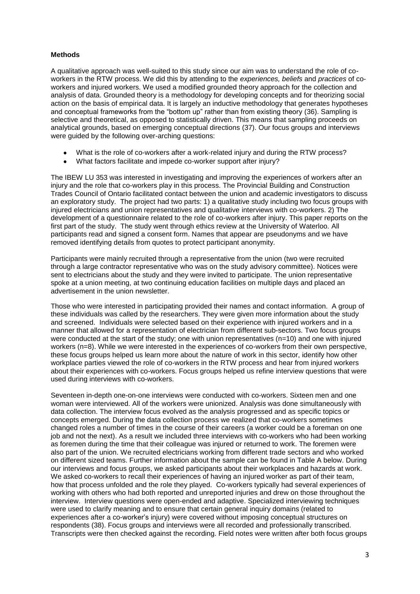### **Methods**

A qualitative approach was well-suited to this study since our aim was to understand the role of coworkers in the RTW process. We did this by attending to the *experiences, beliefs* and *practices* of coworkers and injured workers. We used a modified grounded theory approach for the collection and analysis of data. Grounded theory is a methodology for developing concepts and for theorizing social action on the basis of empirical data. It is largely an inductive methodology that generates hypotheses and conceptual frameworks from the "bottom up" rather than from existing theory [\(36\)](#page-12-18). Sampling is selective and theoretical, as opposed to statistically driven. This means that sampling proceeds on analytical grounds, based on emerging conceptual directions [\(37\)](#page-12-19). Our focus groups and interviews were guided by the following over-arching questions:

- What is the role of co-workers after a work-related injury and during the RTW process?
- What factors facilitate and impede co-worker support after injury?

The IBEW LU 353 was interested in investigating and improving the experiences of workers after an injury and the role that co-workers play in this process. The Provincial Building and Construction Trades Council of Ontario facilitated contact between the union and academic investigators to discuss an exploratory study. The project had two parts: 1) a qualitative study including two focus groups with injured electricians and union representatives and qualitative interviews with co-workers. 2) The development of a questionnaire related to the role of co-workers after injury. This paper reports on the first part of the study. The study went through ethics review at the University of Waterloo. All participants read and signed a consent form. Names that appear are pseudonyms and we have removed identifying details from quotes to protect participant anonymity.

Participants were mainly recruited through a representative from the union (two were recruited through a large contractor representative who was on the study advisory committee). Notices were sent to electricians about the study and they were invited to participate. The union representative spoke at a union meeting, at two continuing education facilities on multiple days and placed an advertisement in the union newsletter.

Those who were interested in participating provided their names and contact information. A group of these individuals was called by the researchers. They were given more information about the study and screened. Individuals were selected based on their experience with injured workers and in a manner that allowed for a representation of electrician from different sub-sectors. Two focus groups were conducted at the start of the study; one with union representatives (n=10) and one with injured workers (n=8). While we were interested in the experiences of co-workers from their own perspective, these focus groups helped us learn more about the nature of work in this sector, identify how other workplace parties viewed the role of co-workers in the RTW process and hear from injured workers about their experiences with co-workers. Focus groups helped us refine interview questions that were used during interviews with co-workers.

Seventeen in-depth one-on-one interviews were conducted with co-workers. Sixteen men and one woman were interviewed. All of the workers were unionized. Analysis was done simultaneously with data collection. The interview focus evolved as the analysis progressed and as specific topics or concepts emerged. During the data collection process we realized that co-workers sometimes changed roles a number of times in the course of their careers (a worker could be a foreman on one job and not the next). As a result we included three interviews with co-workers who had been working as foremen during the time that their colleague was injured or returned to work. The foremen were also part of the union. We recruited electricians working from different trade sectors and who worked on different sized teams. Further information about the sample can be found in Table A below. During our interviews and focus groups, we asked participants about their workplaces and hazards at work. We asked co-workers to recall their experiences of having an injured worker as part of their team, how that process unfolded and the role they played. Co-workers typically had several experiences of working with others who had both reported and unreported injuries and drew on those throughout the interview. Interview questions were open-ended and adaptive. Specialized interviewing techniques were used to clarify meaning and to ensure that certain general inquiry domains (related to experiences after a co-worker's injury) were covered without imposing conceptual structures on respondents [\(38\)](#page-13-0). Focus groups and interviews were all recorded and professionally transcribed. Transcripts were then checked against the recording. Field notes were written after both focus groups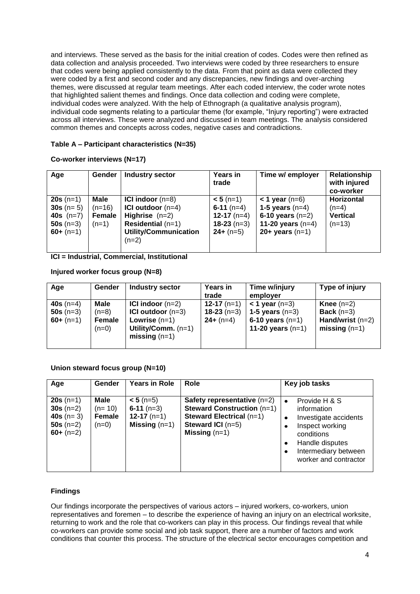and interviews. These served as the basis for the initial creation of codes. Codes were then refined as data collection and analysis proceeded. Two interviews were coded by three researchers to ensure that codes were being applied consistently to the data. From that point as data were collected they were coded by a first and second coder and any discrepancies, new findings and over-arching themes, were discussed at regular team meetings. After each coded interview, the coder wrote notes that highlighted salient themes and findings. Once data collection and coding were complete, individual codes were analyzed. With the help of Ethnograph (a qualitative analysis program), individual code segments relating to a particular theme (for example, "Injury reporting") were extracted across all interviews. These were analyzed and discussed in team meetings. The analysis considered common themes and concepts across codes, negative cases and contradictions.

# **Table A – Participant characteristics (N=35)**

# **Co-worker interviews (N=17)**

| Age                                                                                     | Gender                                | <b>Industry sector</b>                                                                                                                        | <b>Years in</b><br>trade                                                     | Time w/ employer                                                                                        | Relationship<br>with injured<br>co-worker            |
|-----------------------------------------------------------------------------------------|---------------------------------------|-----------------------------------------------------------------------------------------------------------------------------------------------|------------------------------------------------------------------------------|---------------------------------------------------------------------------------------------------------|------------------------------------------------------|
| <b>20s</b> $(n=1)$<br><b>30s</b> ( $n=5$ )<br>40s $(n=7)$<br>50 $s(n=3)$<br>$60+ (n=1)$ | Male<br>$(n=16)$<br>Female<br>$(n=1)$ | ICI indoor $(n=8)$<br>ICI outdoor $(n=4)$<br><b>Highrise</b> $(n=2)$<br><b>Residential</b> $(n=1)$<br><b>Utility/Communication</b><br>$(n=2)$ | $< 5(n=1)$<br>6-11 $(n=4)$<br>12-17 $(n=4)$<br>18-23 $(n=3)$<br>$24 + (n=5)$ | $<$ 1 year (n=6)<br>1-5 years $(n=4)$<br>6-10 years $(n=2)$<br>11-20 years $(n=4)$<br>$20+ years (n=1)$ | Horizontal<br>$(n=4)$<br><b>Vertical</b><br>$(n=13)$ |

**ICI = Industrial, Commercial, Institutional** 

# **Injured worker focus group (N=8)**

| Age                                       | Gender                               | <b>Industry sector</b>                                                                                   | <b>Years in</b><br>trade                       | Time w/injury<br>employer                                                          | Type of injury                                                               |
|-------------------------------------------|--------------------------------------|----------------------------------------------------------------------------------------------------------|------------------------------------------------|------------------------------------------------------------------------------------|------------------------------------------------------------------------------|
| 40s $(n=4)$<br>50s $(n=3)$<br>$60+ (n=1)$ | Male<br>$(n=8)$<br>Female<br>$(n=0)$ | ICI indoor $(n=2)$<br>ICI outdoor $(n=3)$<br>Lowrise $(n=1)$<br>Utility/Comm. $(n=1)$<br>missing $(n=1)$ | $12-17$ (n=1)<br>$18-23$ (n=3)<br>$24 + (n=4)$ | $<$ 1 year (n=3)<br>1-5 years $(n=3)$<br>6-10 years $(n=1)$<br>11-20 years $(n=1)$ | <b>Knee</b> $(n=2)$<br>Back $(n=3)$<br>Hand/wrist $(n=2)$<br>missing $(n=1)$ |

# **Union steward focus group (N=10)**

| Age                                                                            | Gender                                | <b>Years in Role</b>                                           | Role                                                                                                                                   | Key job tasks                                                                                                                                                                     |
|--------------------------------------------------------------------------------|---------------------------------------|----------------------------------------------------------------|----------------------------------------------------------------------------------------------------------------------------------------|-----------------------------------------------------------------------------------------------------------------------------------------------------------------------------------|
| <b>20s</b> $(n=1)$<br>30s $(n=2)$<br>40s $(n=3)$<br>50s $(n=2)$<br>$60+ (n=2)$ | Male<br>$(n=10)$<br>Female<br>$(n=0)$ | $< 5(n=5)$<br>6-11 $(n=3)$<br>$12-17$ (n=1)<br>Missing $(n=1)$ | Safety representative (n=2)<br><b>Steward Construction (n=1)</b><br>Steward Electrical (n=1)<br>Steward ICI $(n=5)$<br>Missing $(n=1)$ | Provide H & S<br>$\bullet$<br>information<br>Investigate accidents<br>٠<br>Inspect working<br>conditions<br>Handle disputes<br>٠<br>Intermediary between<br>worker and contractor |

## **Findings**

Our findings incorporate the perspectives of various actors – injured workers, co-workers, union representatives and foremen – to describe the experience of having an injury on an electrical worksite, returning to work and the role that co-workers can play in this process. Our findings reveal that while co-workers can provide some social and job task support, there are a number of factors and work conditions that counter this process. The structure of the electrical sector encourages competition and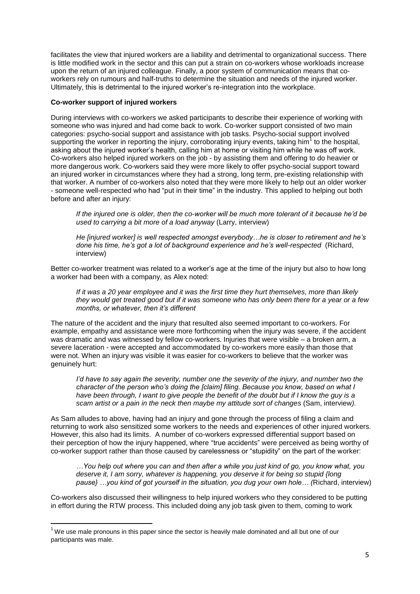facilitates the view that injured workers are a liability and detrimental to organizational success. There is little modified work in the sector and this can put a strain on co-workers whose workloads increase upon the return of an injured colleague. Finally, a poor system of communication means that coworkers rely on rumours and half-truths to determine the situation and needs of the injured worker. Ultimately, this is detrimental to the injured worker's re-integration into the workplace.

### **Co-worker support of injured workers**

During interviews with co-workers we asked participants to describe their experience of working with someone who was injured and had come back to work. Co-worker support consisted of two main categories: psycho-social support and assistance with job tasks. Psycho-social support involved supporting the worker in reporting the injury, corroborating injury events, taking him<sup>1</sup> to the hospital, asking about the injured worker's health, calling him at home or visiting him while he was off work. Co-workers also helped injured workers on the job - by assisting them and offering to do heavier or more dangerous work. Co-workers said they were more likely to offer psycho-social support toward an injured worker in circumstances where they had a strong, long term, pre-existing relationship with that worker. A number of co-workers also noted that they were more likely to help out an older worker - someone well-respected who had "put in their time" in the industry. This applied to helping out both before and after an injury:

*If the injured one is older, then the co-worker will be much more tolerant of it because he'd be used to carrying a bit more of a load anyway* (Larry, interview)

*He [injured worker] is well respected amongst everybody…he is closer to retirement and he's done his time, he's got a lot of background experience and he's well-respected* (Richard, interview)

Better co-worker treatment was related to a worker's age at the time of the injury but also to how long a worker had been with a company, as Alex noted:

*If it was a 20 year employee and it was the first time they hurt themselves, more than likely they would get treated good but if it was someone who has only been there for a year or a few months, or whatever, then it's different*

The nature of the accident and the injury that resulted also seemed important to co-workers. For example, empathy and assistance were more forthcoming when the injury was severe, if the accident was dramatic and was witnessed by fellow co-workers. Injuries that were visible – a broken arm, a severe laceration - were accepted and accommodated by co-workers more easily than those that were not. When an injury was visible it was easier for co-workers to believe that the worker was genuinely hurt:

*I'd have to say again the severity, number one the severity of the injury, and number two the character of the person who's doing the [claim] filing. Because you know, based on what I have been through, I want to give people the benefit of the doubt but if I know the guy is a scam artist or a pain in the neck then maybe my attitude sort of changes* (Sam, interview*).* 

As Sam alludes to above, having had an injury and gone through the process of filing a claim and returning to work also sensitized some workers to the needs and experiences of other injured workers. However, this also had its limits. A number of co-workers expressed differential support based on their perception of how the injury happened, where "true accidents" were perceived as being worthy of co-worker support rather than those caused by carelessness or "stupidity" on the part of the worker:

*…You help out where you can and then after a while you just kind of go, you know what, you deserve it, I am sorry, whatever is happening, you deserve it for being so stupid {long pause} …you kind of got yourself in the situation, you dug your own hole… (*Richard, interview)

Co-workers also discussed their willingness to help injured workers who they considered to be putting in effort during the RTW process. This included doing any job task given to them, coming to work

1

 $1$  We use male pronouns in this paper since the sector is heavily male dominated and all but one of our participants was male.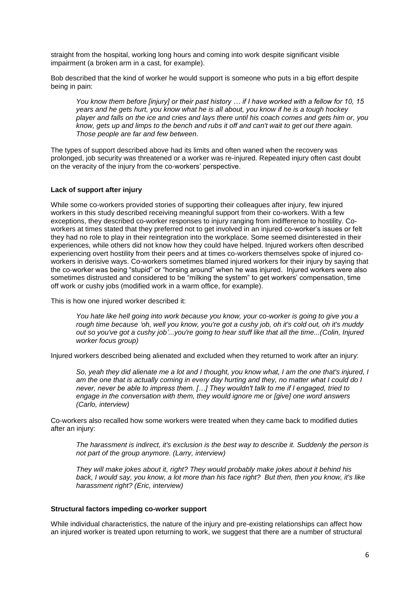straight from the hospital, working long hours and coming into work despite significant visible impairment (a broken arm in a cast, for example).

Bob described that the kind of worker he would support is someone who puts in a big effort despite being in pain:

*You know them before [injury] or their past history … if I have worked with a fellow for 10, 15 years and he gets hurt, you know what he is all about, you know if he is a tough hockey player and falls on the ice and cries and lays there until his coach comes and gets him or, you know, gets up and limps to the bench and rubs it off and can't wait to get out there again. Those people are far and few between.*

The types of support described above had its limits and often waned when the recovery was prolonged, job security was threatened or a worker was re-injured. Repeated injury often cast doubt on the veracity of the injury from the co-workers' perspective.

### **Lack of support after injury**

While some co-workers provided stories of supporting their colleagues after injury, few injured workers in this study described receiving meaningful support from their co-workers. With a few exceptions, they described co-worker responses to injury ranging from indifference to hostility. Coworkers at times stated that they preferred not to get involved in an injured co-worker's issues or felt they had no role to play in their reintegration into the workplace. Some seemed disinterested in their experiences, while others did not know how they could have helped. Injured workers often described experiencing overt hostility from their peers and at times co-workers themselves spoke of injured coworkers in derisive ways. Co-workers sometimes blamed injured workers for their injury by saying that the co-worker was being "stupid" or "horsing around" when he was injured. Injured workers were also sometimes distrusted and considered to be "milking the system" to get workers' compensation, time off work or cushy jobs (modified work in a warm office, for example).

This is how one injured worker described it:

*You hate like hell going into work because you know, your co-worker is going to give you a rough time because 'oh, well you know, you're got a cushy job, oh it's cold out, oh it's muddy out so you've got a cushy job'...you're going to hear stuff like that all the time...(Colin, Injured worker focus group)*

Injured workers described being alienated and excluded when they returned to work after an injury:

*So, yeah they did alienate me a lot and I thought, you know what, I am the one that's injured, I am the one that is actually coming in every day hurting and they, no matter what I could do I never, never be able to impress them. […] They wouldn't talk to me if I engaged, tried to engage in the conversation with them, they would ignore me or [give] one word answers (Carlo, interview)*

Co-workers also recalled how some workers were treated when they came back to modified duties after an injury:

*The harassment is indirect, it's exclusion is the best way to describe it. Suddenly the person is not part of the group anymore. (Larry, interview)*

*They will make jokes about it, right? They would probably make jokes about it behind his back, I would say, you know, a lot more than his face right? But then, then you know, it's like harassment right? (Eric, interview)*

#### **Structural factors impeding co-worker support**

While individual characteristics, the nature of the injury and pre-existing relationships can affect how an injured worker is treated upon returning to work, we suggest that there are a number of structural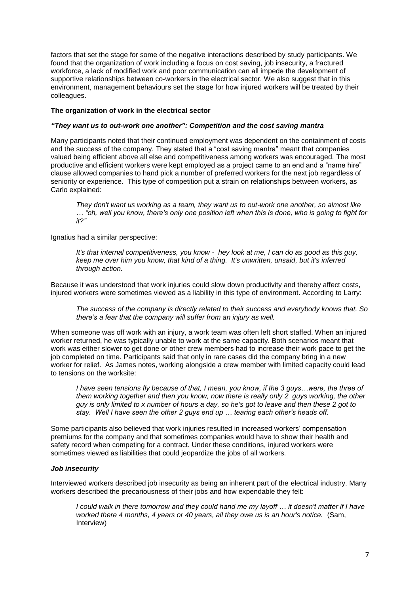factors that set the stage for some of the negative interactions described by study participants. We found that the organization of work including a focus on cost saving, job insecurity, a fractured workforce, a lack of modified work and poor communication can all impede the development of supportive relationships between co-workers in the electrical sector. We also suggest that in this environment, management behaviours set the stage for how injured workers will be treated by their colleagues.

## **The organization of work in the electrical sector**

### *"They want us to out-work one another": Competition and the cost saving mantra*

Many participants noted that their continued employment was dependent on the containment of costs and the success of the company. They stated that a "cost saving mantra" meant that companies valued being efficient above all else and competitiveness among workers was encouraged. The most productive and efficient workers were kept employed as a project came to an end and a "name hire" clause allowed companies to hand pick a number of preferred workers for the next job regardless of seniority or experience. This type of competition put a strain on relationships between workers, as Carlo explained:

*They don't want us working as a team, they want us to out-work one another, so almost like … "oh, well you know, there's only one position left when this is done, who is going to fight for it?"*

Ignatius had a similar perspective:

*It's that internal competitiveness, you know - hey look at me, I can do as good as this guy, keep me over him you know, that kind of a thing. It's unwritten, unsaid, but it's inferred through action.* 

Because it was understood that work injuries could slow down productivity and thereby affect costs, injured workers were sometimes viewed as a liability in this type of environment. According to Larry:

*The success of the company is directly related to their success and everybody knows that. So there's a fear that the company will suffer from an injury as well.*

When someone was off work with an injury, a work team was often left short staffed. When an injured worker returned, he was typically unable to work at the same capacity. Both scenarios meant that work was either slower to get done or other crew members had to increase their work pace to get the job completed on time. Participants said that only in rare cases did the company bring in a new worker for relief. As James notes, working alongside a crew member with limited capacity could lead to tensions on the worksite:

*I have seen tensions fly because of that, I mean, you know, if the 3 guys…were, the three of them working together and then you know, now there is really only 2 guys working, the other guy is only limited to x number of hours a day, so he's got to leave and then these 2 got to stay. Well I have seen the other 2 guys end up … tearing each other's heads off.* 

Some participants also believed that work injuries resulted in increased workers' compensation premiums for the company and that sometimes companies would have to show their health and safety record when competing for a contract. Under these conditions, injured workers were sometimes viewed as liabilities that could jeopardize the jobs of all workers.

## *Job insecurity*

Interviewed workers described job insecurity as being an inherent part of the electrical industry. Many workers described the precariousness of their jobs and how expendable they felt:

*I could walk in there tomorrow and they could hand me my layoff … it doesn't matter if I have worked there 4 months, 4 years or 40 years, all they owe us is an hour's notice.* (Sam, Interview)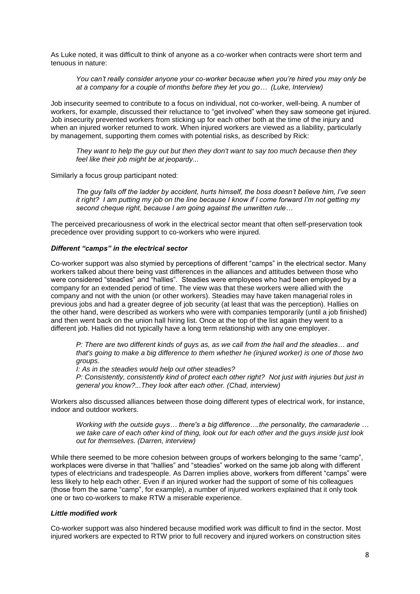As Luke noted, it was difficult to think of anyone as a co-worker when contracts were short term and tenuous in nature:

*You can't really consider anyone your co-worker because when you're hired you may only be at a company for a couple of months before they let you go… (Luke, Interview)*

Job insecurity seemed to contribute to a focus on individual, not co-worker, well-being. A number of workers, for example, discussed their reluctance to "get involved" when they saw someone get injured. Job insecurity prevented workers from sticking up for each other both at the time of the injury and when an injured worker returned to work. When injured workers are viewed as a liability, particularly by management, supporting them comes with potential risks, as described by Rick:

*They want to help the guy out but then they don't want to say too much because then they feel like their job might be at jeopardy...*

Similarly a focus group participant noted:

*The guy falls off the ladder by accident, hurts himself, the boss doesn't believe him, I've seen it right? I am putting my job on the line because I know if I come forward I'm not getting my second cheque right, because I am going against the unwritten rule…*

The perceived precariousness of work in the electrical sector meant that often self-preservation took precedence over providing support to co-workers who were injured.

#### *Different "camps" in the electrical sector*

Co-worker support was also stymied by perceptions of different "camps" in the electrical sector. Many workers talked about there being vast differences in the alliances and attitudes between those who were considered "steadies" and "hallies". Steadies were employees who had been employed by a company for an extended period of time. The view was that these workers were allied with the company and not with the union (or other workers). Steadies may have taken managerial roles in previous jobs and had a greater degree of job security (at least that was the perception). Hallies on the other hand, were described as workers who were with companies temporarily (until a job finished) and then went back on the union hall hiring list. Once at the top of the list again they went to a different job. Hallies did not typically have a long term relationship with any one employer.

*P: There are two different kinds of guys as, as we call from the hall and the steadies… and that's going to make a big difference to them whether he (injured worker) is one of those two groups.* 

*I: As in the steadies would help out other steadies?*

*P: Consistently, consistently kind of protect each other right? Not just with injuries but just in general you know?...They look after each other. (Chad, interview)*

Workers also discussed alliances between those doing different types of electrical work, for instance, indoor and outdoor workers.

*Working with the outside guys... there's a big difference....the personality, the camaraderie ... we take care of each other kind of thing, look out for each other and the guys inside just look out for themselves. (Darren, interview)*

While there seemed to be more cohesion between groups of workers belonging to the same "camp", workplaces were diverse in that "hallies" and "steadies" worked on the same job along with different types of electricians and tradespeople. As Darren implies above, workers from different "camps" were less likely to help each other. Even if an injured worker had the support of some of his colleagues (those from the same "camp", for example), a number of injured workers explained that it only took one or two co-workers to make RTW a miserable experience.

### *Little modified work*

Co-worker support was also hindered because modified work was difficult to find in the sector. Most injured workers are expected to RTW prior to full recovery and injured workers on construction sites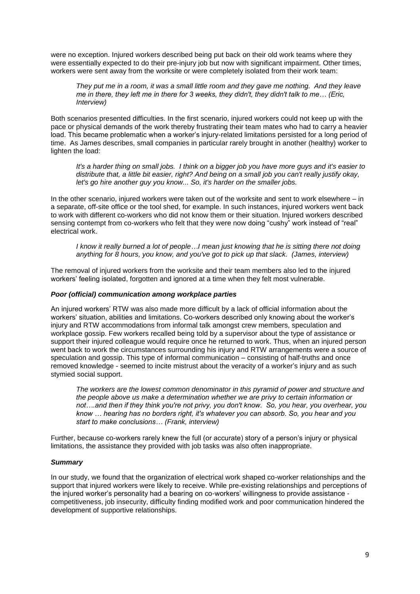were no exception. Injured workers described being put back on their old work teams where they were essentially expected to do their pre-injury job but now with significant impairment. Other times, workers were sent away from the worksite or were completely isolated from their work team:

*They put me in a room, it was a small little room and they gave me nothing. And they leave me in there, they left me in there for 3 weeks, they didn't, they didn't talk to me… (Eric, Interview)*

Both scenarios presented difficulties. In the first scenario, injured workers could not keep up with the pace or physical demands of the work thereby frustrating their team mates who had to carry a heavier load. This became problematic when a worker's injury-related limitations persisted for a long period of time. As James describes, small companies in particular rarely brought in another (healthy) worker to lighten the load:

*It's a harder thing on small jobs. I think on a bigger job you have more guys and it's easier to distribute that, a little bit easier, right? And being on a small job you can't really justify okay, let's go hire another guy you know... So, it's harder on the smaller jobs.*

In the other scenario, injured workers were taken out of the worksite and sent to work elsewhere – in a separate, off-site office or the tool shed, for example. In such instances, injured workers went back to work with different co-workers who did not know them or their situation. Injured workers described sensing contempt from co-workers who felt that they were now doing "cushy" work instead of "real" electrical work.

*I know it really burned a lot of people…I mean just knowing that he is sitting there not doing anything for 8 hours, you know, and you've got to pick up that slack. (James, interview)* 

The removal of injured workers from the worksite and their team members also led to the injured workers' feeling isolated, forgotten and ignored at a time when they felt most vulnerable.

### *Poor (official) communication among workplace parties*

An injured workers' RTW was also made more difficult by a lack of official information about the workers' situation, abilities and limitations. Co-workers described only knowing about the worker's injury and RTW accommodations from informal talk amongst crew members, speculation and workplace gossip. Few workers recalled being told by a supervisor about the type of assistance or support their injured colleague would require once he returned to work. Thus, when an injured person went back to work the circumstances surrounding his injury and RTW arrangements were a source of speculation and gossip. This type of informal communication – consisting of half-truths and once removed knowledge - seemed to incite mistrust about the veracity of a worker's injury and as such stymied social support.

*The workers are the lowest common denominator in this pyramid of power and structure and the people above us make a determination whether we are privy to certain information or not….and then if they think you're not privy, you don't know. So, you hear, you overhear, you know … hearing has no borders right, it's whatever you can absorb. So, you hear and you start to make conclusions… (Frank, interview)*

Further, because co-workers rarely knew the full (or accurate) story of a person's injury or physical limitations, the assistance they provided with job tasks was also often inappropriate.

#### *Summary*

In our study, we found that the organization of electrical work shaped co-worker relationships and the support that injured workers were likely to receive. While pre-existing relationships and perceptions of the injured worker's personality had a bearing on co-workers' willingness to provide assistance competitiveness, job insecurity, difficulty finding modified work and poor communication hindered the development of supportive relationships.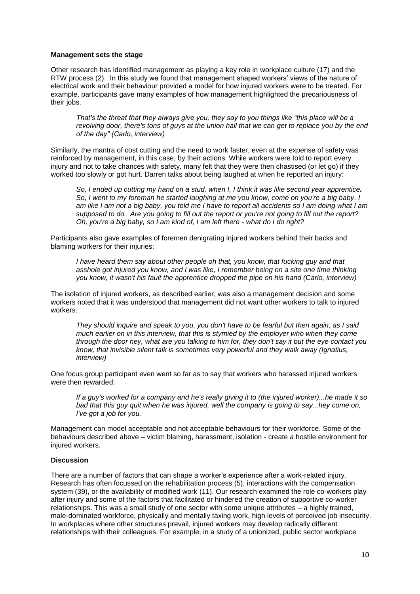### **Management sets the stage**

Other research has identified management as playing a key role in workplace culture [\(17\)](#page-11-16) and the RTW process [\(2\)](#page-11-1). In this study we found that management shaped workers' views of the nature of electrical work and their behaviour provided a model for how injured workers were to be treated. For example, participants gave many examples of how management highlighted the precariousness of their jobs.

*That's the threat that they always give you, they say to you things like "this place will be a revolving door, there's tons of guys at the union hall that we can get to replace you by the end of the day" (Carlo, interview)*

Similarly, the mantra of cost cutting and the need to work faster, even at the expense of safety was reinforced by management, in this case, by their actions. While workers were told to report every injury and not to take chances with safety, many felt that they were then chastised (or let go) if they worked too slowly or got hurt. Darren talks about being laughed at when he reported an injury:

*So, I ended up cutting my hand on a stud, when I, I think it was like second year apprentice. So, I went to my foreman he started laughing at me you know, come on you're a big baby. I am like I am not a big baby, you told me I have to report all accidents so I am doing what I am supposed to do. Are you going to fill out the report or you're not going to fill out the report? Oh, you're a big baby, so I am kind of, I am left there - what do I do right?*

Participants also gave examples of foremen denigrating injured workers behind their backs and blaming workers for their injuries:

*I have heard them say about other people oh that, you know, that fucking guy and that asshole got injured you know, and I was like, I remember being on a site one time thinking you know, it wasn't his fault the apprentice dropped the pipe on his hand (Carlo, interview)*

The isolation of injured workers, as described earlier, was also a management decision and some workers noted that it was understood that management did not want other workers to talk to injured workers.

*They should inquire and speak to you, you don't have to be fearful but then again, as I said much earlier on in this interview, that this is stymied by the employer who when they come through the door hey, what are you talking to him for, they don't say it but the eye contact you know, that invisible silent talk is sometimes very powerful and they walk away (Ignatius, interview)*

One focus group participant even went so far as to say that workers who harassed injured workers were then rewarded:

*If a guy's worked for a company and he's really giving it to (the injured worker)...he made it so bad that this guy quit when he was injured, well the company is going to say...hey come on, I've got a job for you.*

Management can model acceptable and not acceptable behaviours for their workforce. Some of the behaviours described above – victim blaming, harassment, isolation - create a hostile environment for injured workers.

### **Discussion**

There are a number of factors that can shape a worker's experience after a work-related injury. Research has often focussed on the rehabilitation process [\(5\)](#page-11-4), interactions with the compensation system [\(39\)](#page-13-1), or the availability of modified work [\(11\)](#page-11-10). Our research examined the role co-workers play after injury and some of the factors that facilitated or hindered the creation of supportive co-worker relationships. This was a small study of one sector with some unique attributes – a highly trained, male-dominated workforce, physically and mentally taxing work, high levels of perceived job insecurity. In workplaces where other structures prevail, injured workers may develop radically different relationships with their colleagues. For example, in a study of a unionized, public sector workplace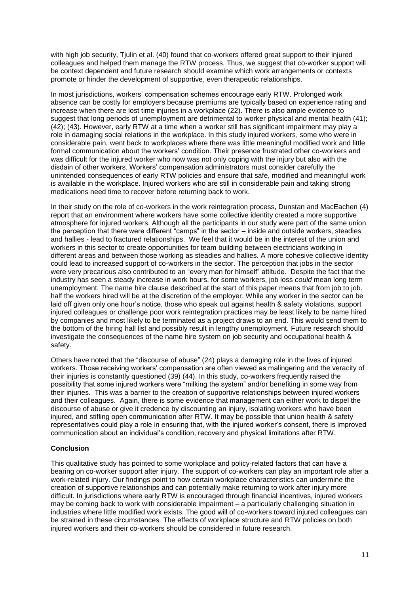with high job security, Tjulin et al. [\(40\)](#page-13-2) found that co-workers offered great support to their injured colleagues and helped them manage the RTW process. Thus, we suggest that co-worker support will be context dependent and future research should examine which work arrangements or contexts promote or hinder the development of supportive, even therapeutic relationships.

In most jurisdictions, workers' compensation schemes encourage early RTW. Prolonged work absence can be costly for employers because premiums are typically based on experience rating and increase when there are lost time injuries in a workplace [\(22\)](#page-12-4). There is also ample evidence to suggest that long periods of unemployment are detrimental to worker physical and mental health [\(41\)](#page-13-3); [\(42\)](#page-13-4); [\(43\)](#page-13-5). However, early RTW at a time when a worker still has significant impairment may play a role in damaging social relations in the workplace. In this study injured workers, some who were in considerable pain, went back to workplaces where there was little meaningful modified work and little formal communication about the workers' condition. Their presence frustrated other co-workers and was difficult for the injured worker who now was not only coping with the injury but also with the disdain of other workers. Workers' compensation administrators must consider carefully the unintended consequences of early RTW policies and ensure that safe, modified and meaningful work is available in the workplace. Injured workers who are still in considerable pain and taking strong medications need time to recover before returning back to work.

In their study on the role of co-workers in the work reintegration process, Dunstan and MacEachen [\(4\)](#page-11-3) report that an environment where workers have some collective identity created a more supportive atmosphere for injured workers. Although all the participants in our study were part of the same union the perception that there were different "camps" in the sector – inside and outside workers, steadies and hallies - lead to fractured relationships. We feel that it would be in the interest of the union and workers in this sector to create opportunities for team building between electricians working in different areas and between those working as steadies and hallies. A more cohesive collective identity could lead to increased support of co-workers in the sector. The perception that jobs in the sector were very precarious also contributed to an "every man for himself" attitude. Despite the fact that the industry has seen a steady increase in work hours, for some workers, job loss *could* mean long term unemployment. The name hire clause described at the start of this paper means that from job to job, half the workers hired will be at the discretion of the employer. While any worker in the sector can be laid off given only one hour's notice, those who speak out against health & safety violations, support injured colleagues or challenge poor work reintegration practices may be least likely to be name hired by companies and most likely to be terminated as a project draws to an end. This would send them to the bottom of the hiring hall list and possibly result in lengthy unemployment. Future research should investigate the consequences of the name hire system on job security and occupational health & safety.

Others have noted that the "discourse of abuse" [\(24\)](#page-12-6) plays a damaging role in the lives of injured workers. Those receiving workers' compensation are often viewed as malingering and the veracity of their injuries is constantly questioned [\(39\)](#page-13-1) [\(44\)](#page-13-6). In this study, co-workers frequently raised the possibility that some injured workers were "milking the system" and/or benefiting in some way from their injuries. This was a barrier to the creation of supportive relationships between injured workers and their colleagues. Again, there is some evidence that management can either work to dispel the discourse of abuse or give it credence by discounting an injury, isolating workers who have been injured, and stifling open communication after RTW. It may be possible that union health & safety representatives could play a role in ensuring that, with the injured worker's consent, there is improved communication about an individual's condition, recovery and physical limitations after RTW.

# **Conclusion**

This qualitative study has pointed to some workplace and policy-related factors that can have a bearing on co-worker support after injury. The support of co-workers can play an important role after a work-related injury. Our findings point to how certain workplace characteristics can undermine the creation of supportive relationships and can potentially make returning to work after injury more difficult. In jurisdictions where early RTW is encouraged through financial incentives, injured workers may be coming back to work with considerable impairment – a particularly challenging situation in industries where little modified work exists. The good will of co-workers toward injured colleagues can be strained in these circumstances. The effects of workplace structure and RTW policies on both injured workers and their co-workers should be considered in future research.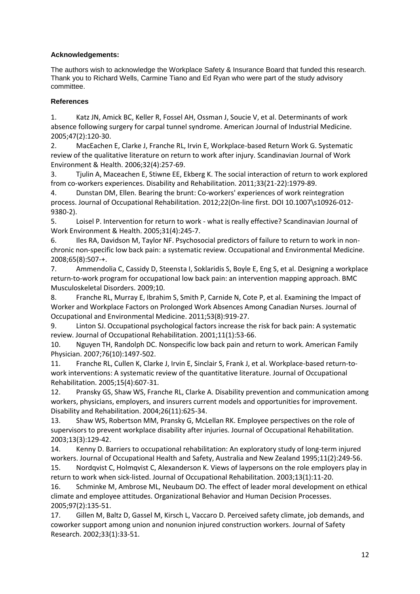# **Acknowledgements:**

The authors wish to acknowledge the Workplace Safety & Insurance Board that funded this research. Thank you to Richard Wells, Carmine Tiano and Ed Ryan who were part of the study advisory committee.

# **References**

<span id="page-11-0"></span>1. Katz JN, Amick BC, Keller R, Fossel AH, Ossman J, Soucie V, et al. Determinants of work absence following surgery for carpal tunnel syndrome. American Journal of Industrial Medicine. 2005;47(2):120-30.

<span id="page-11-1"></span>2. MacEachen E, Clarke J, Franche RL, Irvin E, Workplace-based Return Work G. Systematic review of the qualitative literature on return to work after injury. Scandinavian Journal of Work Environment & Health. 2006;32(4):257-69.

<span id="page-11-2"></span>3. Tjulin A, Maceachen E, Stiwne EE, Ekberg K. The social interaction of return to work explored from co-workers experiences. Disability and Rehabilitation. 2011;33(21-22):1979-89.

<span id="page-11-3"></span>4. Dunstan DM, Ellen. Bearing the brunt: Co-workers' experiences of work reintegration process. Journal of Occupational Rehabilitation. 2012;22(On-line first. DOI 10.1007\s10926-012- 9380-2).

<span id="page-11-4"></span>5. Loisel P. Intervention for return to work - what is really effective? Scandinavian Journal of Work Environment & Health. 2005;31(4):245-7.

<span id="page-11-5"></span>6. Iles RA, Davidson M, Taylor NF. Psychosocial predictors of failure to return to work in nonchronic non-specific low back pain: a systematic review. Occupational and Environmental Medicine. 2008;65(8):507-+.

<span id="page-11-6"></span>7. Ammendolia C, Cassidy D, Steensta I, Soklaridis S, Boyle E, Eng S, et al. Designing a workplace return-to-work program for occupational low back pain: an intervention mapping approach. BMC Musculoskeletal Disorders. 2009;10.

<span id="page-11-7"></span>8. Franche RL, Murray E, Ibrahim S, Smith P, Carnide N, Cote P, et al. Examining the Impact of Worker and Workplace Factors on Prolonged Work Absences Among Canadian Nurses. Journal of Occupational and Environmental Medicine. 2011;53(8):919-27.

<span id="page-11-8"></span>9. Linton SJ. Occupational psychological factors increase the risk for back pain: A systematic review. Journal of Occupational Rehabilitation. 2001;11(1):53-66.

<span id="page-11-9"></span>10. Nguyen TH, Randolph DC. Nonspecific low back pain and return to work. American Family Physician. 2007;76(10):1497-502.

<span id="page-11-10"></span>11. Franche RL, Cullen K, Clarke J, Irvin E, Sinclair S, Frank J, et al. Workplace-based return-towork interventions: A systematic review of the quantitative literature. Journal of Occupational Rehabilitation. 2005;15(4):607-31.

<span id="page-11-11"></span>12. Pransky GS, Shaw WS, Franche RL, Clarke A. Disability prevention and communication among workers, physicians, employers, and insurers current models and opportunities for improvement. Disability and Rehabilitation. 2004;26(11):625-34.

<span id="page-11-12"></span>13. Shaw WS, Robertson MM, Pransky G, McLellan RK. Employee perspectives on the role of supervisors to prevent workplace disability after injuries. Journal of Occupational Rehabilitation. 2003;13(3):129-42.

<span id="page-11-13"></span>14. Kenny D. Barriers to occupational rehabilitation: An exploratory study of long-term injured workers. Journal of Occupational Health and Safety, Australia and New Zealand 1995;11(2):249-56.

<span id="page-11-14"></span>15. Nordqvist C, Holmqvist C, Alexanderson K. Views of laypersons on the role employers play in return to work when sick-listed. Journal of Occupational Rehabilitation. 2003;13(1):11-20.

<span id="page-11-15"></span>16. Schminke M, Ambrose ML, Neubaum DO. The effect of leader moral development on ethical climate and employee attitudes. Organizational Behavior and Human Decision Processes. 2005;97(2):135-51.

<span id="page-11-16"></span>17. Gillen M, Baltz D, Gassel M, Kirsch L, Vaccaro D. Perceived safety climate, job demands, and coworker support among union and nonunion injured construction workers. Journal of Safety Research. 2002;33(1):33-51.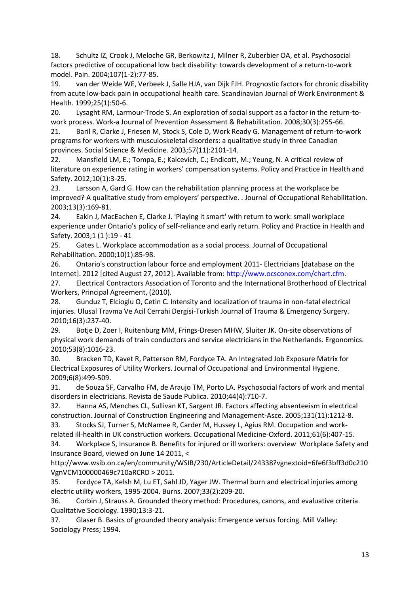<span id="page-12-0"></span>18. Schultz IZ, Crook J, Meloche GR, Berkowitz J, Milner R, Zuberbier OA, et al. Psychosocial factors predictive of occupational low back disability: towards development of a return-to-work model. Pain. 2004;107(1-2):77-85.

<span id="page-12-1"></span>19. van der Weide WE, Verbeek J, Salle HJA, van Dijk FJH. Prognostic factors for chronic disability from acute low-back pain in occupational health care. Scandinavian Journal of Work Environment & Health. 1999;25(1):50-6.

<span id="page-12-2"></span>20. Lysaght RM, Larmour-Trode S. An exploration of social support as a factor in the return-towork process. Work-a Journal of Prevention Assessment & Rehabilitation. 2008;30(3):255-66.

<span id="page-12-3"></span>21. Baril R, Clarke J, Friesen M, Stock S, Cole D, Work Ready G. Management of return-to-work programs for workers with musculoskeletal disorders: a qualitative study in three Canadian provinces. Social Science & Medicine. 2003;57(11):2101-14.

<span id="page-12-4"></span>22. Mansfield LM, E.; Tompa, E.; Kalcevich, C.; Endicott, M.; Yeung, N. A critical review of literature on experience rating in workers' compensation systems. Policy and Practice in Health and Safety. 2012;10(1):3-25.

<span id="page-12-5"></span>23. Larsson A, Gard G. How can the rehabilitation planning process at the workplace be improved? A qualitative study from employers' perspective. . Journal of Occupational Rehabilitation. 2003;13(3):169-81.

<span id="page-12-6"></span>24. Eakin J, MacEachen E, Clarke J. 'Playing it smart' with return to work: small workplace experience under Ontario's policy of self-reliance and early return. Policy and Practice in Health and Safety. 2003;1 (1 ):19 - 41

<span id="page-12-7"></span>25. Gates L. Workplace accommodation as a social process. Journal of Occupational Rehabilitation. 2000;10(1):85-98.

<span id="page-12-8"></span>26. Ontario's construction labour force and employment 2011- Electricians [database on the Internet]. 2012 [cited August 27, 2012]. Available from: [http://www.ocsconex.com/chart.cfm.](http://www.ocsconex.com/chart.cfm)

<span id="page-12-9"></span>27. Electrical Contractors Association of Toronto and the International Brotherhood of Electrical Workers, Principal Agreement, (2010).

<span id="page-12-10"></span>28. Gunduz T, Elcioglu O, Cetin C. Intensity and localization of trauma in non-fatal electrical injuries. Ulusal Travma Ve Acil Cerrahi Dergisi-Turkish Journal of Trauma & Emergency Surgery. 2010;16(3):237-40.

<span id="page-12-11"></span>29. Botje D, Zoer I, Ruitenburg MM, Frings-Dresen MHW, Sluiter JK. On-site observations of physical work demands of train conductors and service electricians in the Netherlands. Ergonomics. 2010;53(8):1016-23.

<span id="page-12-12"></span>30. Bracken TD, Kavet R, Patterson RM, Fordyce TA. An Integrated Job Exposure Matrix for Electrical Exposures of Utility Workers. Journal of Occupational and Environmental Hygiene. 2009;6(8):499-509.

<span id="page-12-13"></span>31. de Souza SF, Carvalho FM, de Araujo TM, Porto LA. Psychosocial factors of work and mental disorders in electricians. Revista de Saude Publica. 2010;44(4):710-7.

<span id="page-12-14"></span>32. Hanna AS, Menches CL, Sullivan KT, Sargent JR. Factors affecting absenteeism in electrical construction. Journal of Construction Engineering and Management-Asce. 2005;131(11):1212-8.

<span id="page-12-15"></span>33. Stocks SJ, Turner S, McNamee R, Carder M, Hussey L, Agius RM. Occupation and workrelated ill-health in UK construction workers. Occupational Medicine-Oxford. 2011;61(6):407-15.

<span id="page-12-16"></span>34. Workplace S, Insurance B. Benefits for injured or ill workers: overview Workplace Safety and Insurance Board, viewed on June 14 2011, <

http://www.wsib.on.ca/en/community/WSIB/230/ArticleDetail/24338?vgnextoid=6fe6f3bff3d0c210 VgnVCM100000469c710aRCRD > 2011.

<span id="page-12-17"></span>35. Fordyce TA, Kelsh M, Lu ET, Sahl JD, Yager JW. Thermal burn and electrical injuries among electric utility workers, 1995-2004. Burns. 2007;33(2):209-20.

<span id="page-12-18"></span>36. Corbin J, Strauss A. Grounded theory method: Procedures, canons, and evaluative criteria. Qualitative Sociology. 1990;13:3-21.

<span id="page-12-19"></span>37. Glaser B. Basics of grounded theory analysis: Emergence versus forcing. Mill Valley: Sociology Press; 1994.